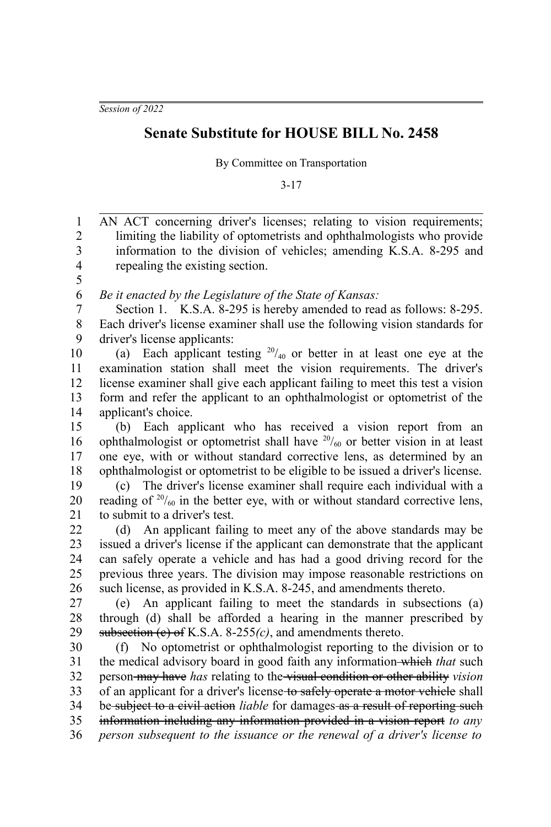*Session of 2022*

## **Senate Substitute for HOUSE BILL No. 2458**

By Committee on Transportation

3-17

AN ACT concerning driver's licenses; relating to vision requirements; limiting the liability of optometrists and ophthalmologists who provide information to the division of vehicles; amending K.S.A. 8-295 and repealing the existing section. *Be it enacted by the Legislature of the State of Kansas:* Section 1. K.S.A. 8-295 is hereby amended to read as follows: 8-295. Each driver's license examiner shall use the following vision standards for driver's license applicants: (a) Each applicant testing  $20/40$  or better in at least one eye at the examination station shall meet the vision requirements. The driver's license examiner shall give each applicant failing to meet this test a vision form and refer the applicant to an ophthalmologist or optometrist of the applicant's choice. (b) Each applicant who has received a vision report from an ophthalmologist or optometrist shall have  $20/60$  or better vision in at least one eye, with or without standard corrective lens, as determined by an ophthalmologist or optometrist to be eligible to be issued a driver's license. (c) The driver's license examiner shall require each individual with a reading of  $20/60$  in the better eye, with or without standard corrective lens, to submit to a driver's test. (d) An applicant failing to meet any of the above standards may be issued a driver's license if the applicant can demonstrate that the applicant can safely operate a vehicle and has had a good driving record for the previous three years. The division may impose reasonable restrictions on such license, as provided in K.S.A. 8-245, and amendments thereto. (e) An applicant failing to meet the standards in subsections (a) through (d) shall be afforded a hearing in the manner prescribed by subsection (c) of K.S.A. 8-255*(c)*, and amendments thereto. (f) No optometrist or ophthalmologist reporting to the division or to the medical advisory board in good faith any information which *that* such person may have *has* relating to the visual condition or other ability *vision* of an applicant for a driver's license to safely operate a motor vehicle shall be subject to a civil action *liable* for damages as a result of reporting such information including any information provided in a vision report *to any person subsequent to the issuance or the renewal of a driver's license to* 1 2 3 4 5 6 7 8 9 10 11 12 13 14 15 16 17 18 19 20 21 22 23 24 25 26 27 28 29 30 31 32 33 34 35 36